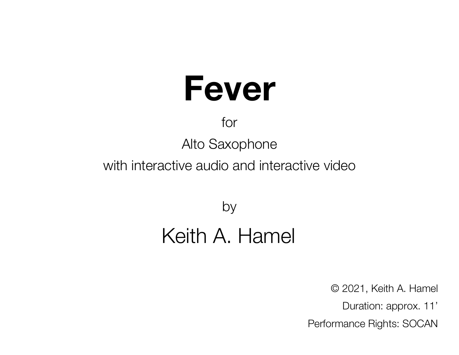# **Fever**

### for

Alto Saxophone

with interactive audio and interactive video

by

### Keith A. Hamel

© 2021, Keith A. Hamel Duration: approx. 11' Performance Rights: SOCAN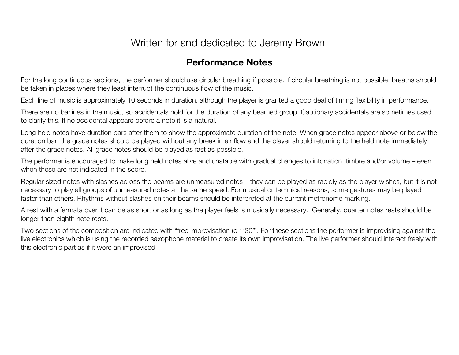#### Written for and dedicated to Jeremy Brown

#### **Performance Notes**

For the long continuous sections, the performer should use circular breathing if possible. If circular breathing is not possible, breaths should be taken in places where they least interrupt the continuous flow of the music.

Each line of music is approximately 10 seconds in duration, although the player is granted a good deal of timing flexibility in performance.

There are no barlines in the music, so accidentals hold for the duration of any beamed group. Cautionary accidentals are sometimes used to clarify this. If no accidental appears before a note it is a natural.

Long held notes have duration bars after them to show the approximate duration of the note. When grace notes appear above or below the duration bar, the grace notes should be played without any break in air flow and the player should returning to the held note immediately after the grace notes. All grace notes should be played as fast as possible.

The performer is encouraged to make long held notes alive and unstable with gradual changes to intonation, timbre and/or volume – even when these are not indicated in the score.

Regular sized notes with slashes across the beams are unmeasured notes – they can be played as rapidly as the player wishes, but it is not necessary to play all groups of unmeasured notes at the same speed. For musical or technical reasons, some gestures may be played faster than others. Rhythms without slashes on their beams should be interpreted at the current metronome marking.

A rest with a fermata over it can be as short or as long as the player feels is musically necessary. Generally, quarter notes rests should be longer than eighth note rests.

Two sections of the composition are indicated with "free improvisation (c 1'30"). For these sections the performer is improvising against the live electronics which is using the recorded saxophone material to create its own improvisation. The live performer should interact freely with this electronic part as if it were an improvised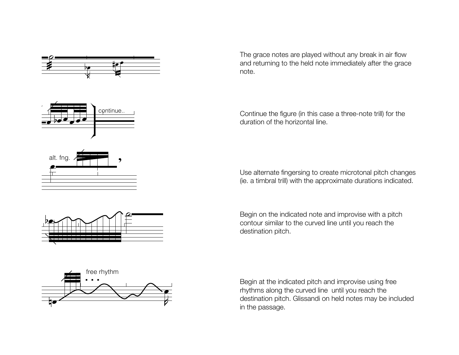

The grace notes are played without any break in air flow and returning to the held note immediately after the grace<br>note. note.

Continue the figure (in this case a three-note trill) for the Continue the figure (in this cas<br>duration of the horizontal line.  $\overline{a}$ 

Use alternate fingersing to create microtonal pitch changes (ie. a timbral trill) with the approximate durations indicated. otonal pitch changes<br>durations indicated.

Begin on the indicated note and improvise with a pitch Begin on the indicated note and improvise with a pite<br>contour similar to the curved line until you reach the<br>destination pitch. destination pitch.<br>' .<br>ا . . . t<br>(



Begin at the indicated pitch and improvise using free rhythms along the curved line until you reach the rnythms along the curved line Until you reach the<br>destination pitch. Glissandi on held notes may be included<br>. in the passage. on held<br> itl you reach the<br>Id notes may be in<mark>c</mark>



F

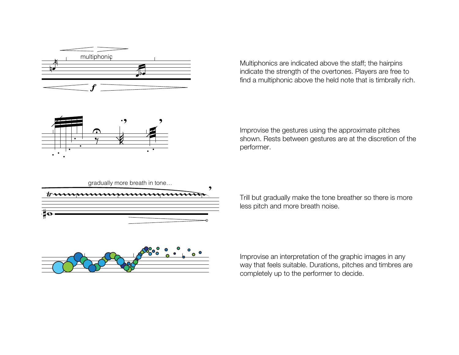

Multiphonics are indicated above the staff; the hairpins indicate the strength of the overtones. Players are free to find a multiphonic above the held note that is timbrally rich.  $\overline{a}$  $\frac{1}{2}$ hor<br>to tl .



Improvise the gestures using the approximate pitches p shown. Rests between gestures are at the discretion of the performer.



Trill but gradually make the tone breather so there is more Trill but gradually make the tone b<br>less pitch and more breath noise.



Improvise an interpretation of the graphic images in any way that feels suitable. Durations, pitches and timbres are completely up to the performer to decide.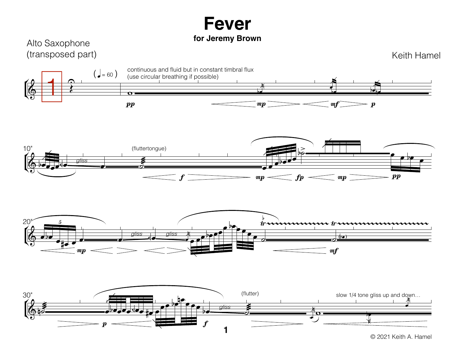## **Fever**

#### **for Jeremy Brown**



 $\boldsymbol{m}\boldsymbol{p}$ 

Keith Hamel





© 2021 Keith A. Hamel

 $m f$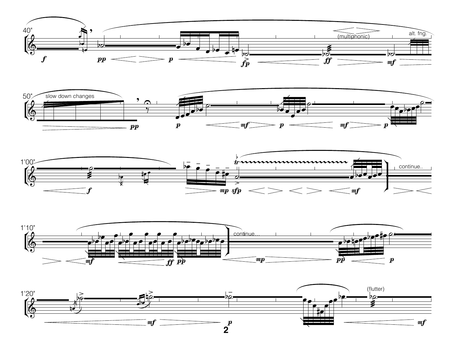







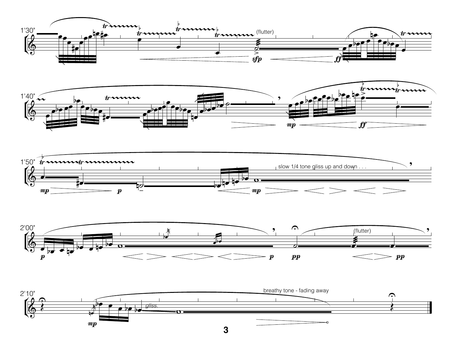









**3**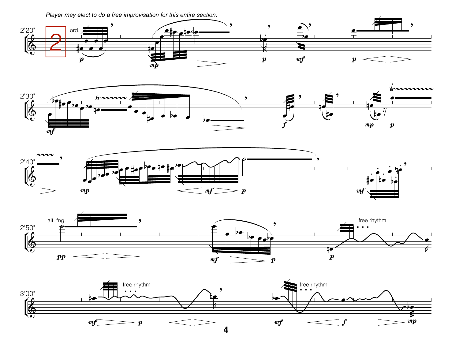Player may elect to do a free improvisation for this entire section.









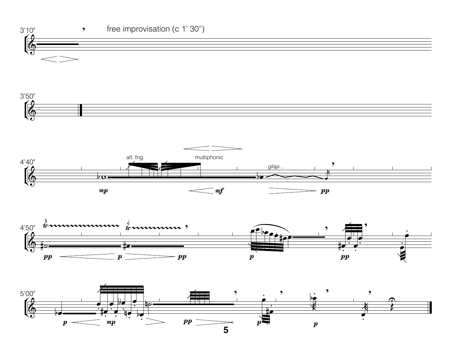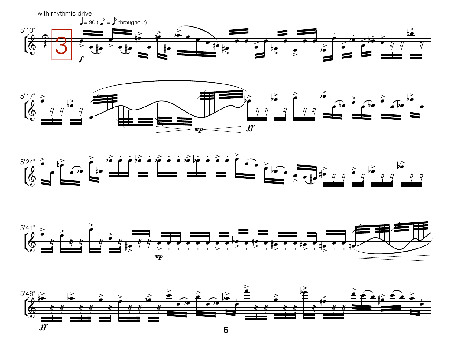







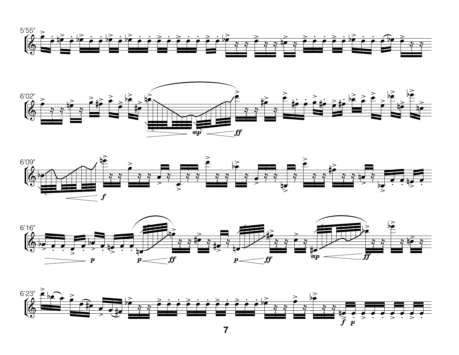







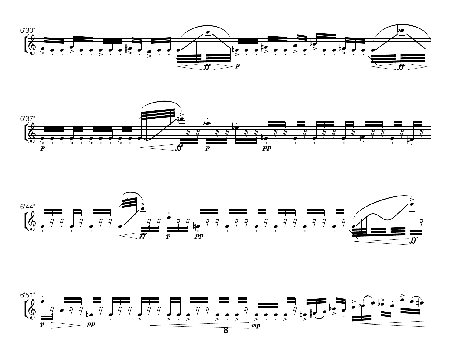





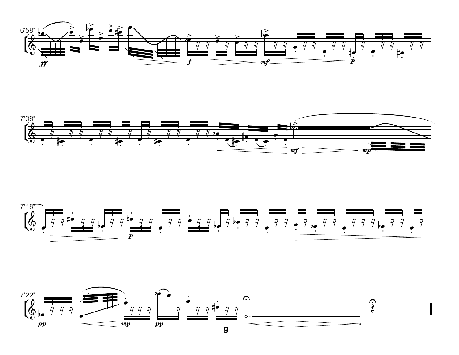





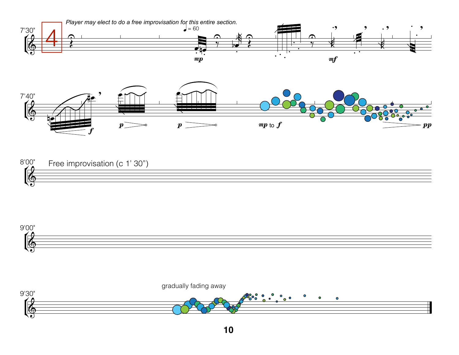





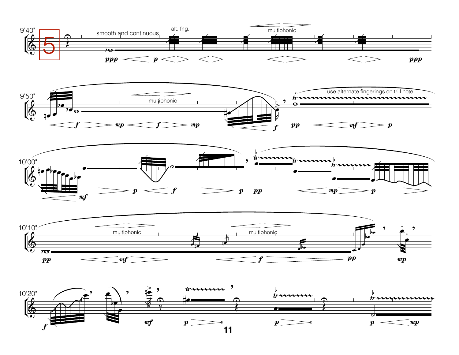







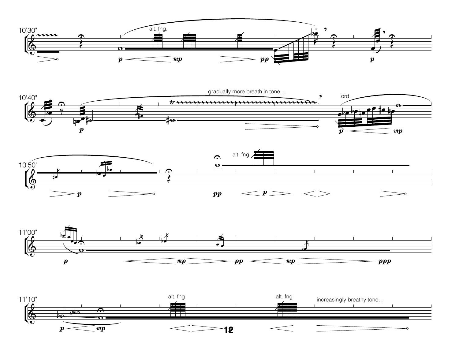